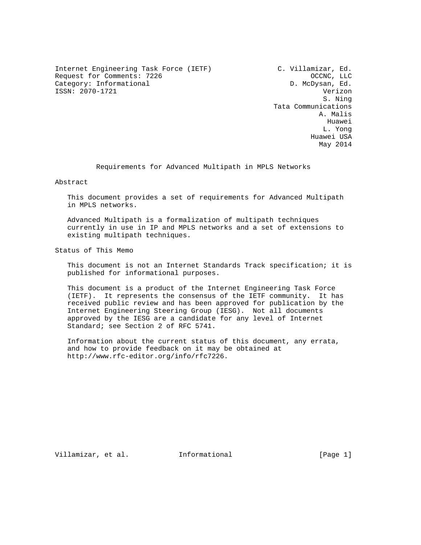Internet Engineering Task Force (IETF) C. Villamizar, Ed. Request for Comments: 7226 OCCNC, LLC Category: Informational department of the D. McDysan, Ed. ISSN: 2070-1721 Verizon

 S. Ning Tata Communications A. Malis he distributed by the control of the control of the control of the control of the control of the control of the control of the control of the control of the control of the control of the control of the control of the contr L. Yong Huawei USA May 2014

Requirements for Advanced Multipath in MPLS Networks

Abstract

 This document provides a set of requirements for Advanced Multipath in MPLS networks.

 Advanced Multipath is a formalization of multipath techniques currently in use in IP and MPLS networks and a set of extensions to existing multipath techniques.

Status of This Memo

 This document is not an Internet Standards Track specification; it is published for informational purposes.

 This document is a product of the Internet Engineering Task Force (IETF). It represents the consensus of the IETF community. It has received public review and has been approved for publication by the Internet Engineering Steering Group (IESG). Not all documents approved by the IESG are a candidate for any level of Internet Standard; see Section 2 of RFC 5741.

 Information about the current status of this document, any errata, and how to provide feedback on it may be obtained at http://www.rfc-editor.org/info/rfc7226.

Villamizar, et al. 1nformational [Page 1]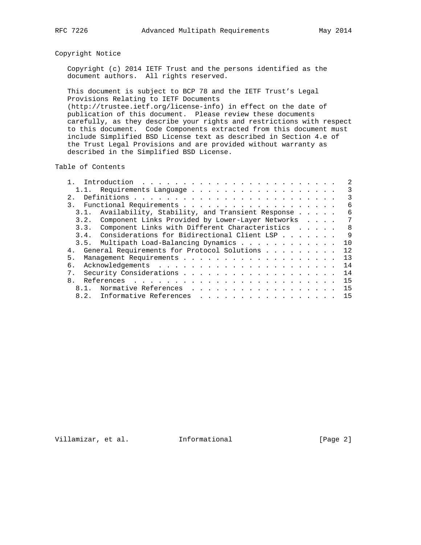# Copyright Notice

 Copyright (c) 2014 IETF Trust and the persons identified as the document authors. All rights reserved.

 This document is subject to BCP 78 and the IETF Trust's Legal Provisions Relating to IETF Documents (http://trustee.ietf.org/license-info) in effect on the date of

 publication of this document. Please review these documents carefully, as they describe your rights and restrictions with respect to this document. Code Components extracted from this document must include Simplified BSD License text as described in Section 4.e of the Trust Legal Provisions and are provided without warranty as described in the Simplified BSD License.

Table of Contents

| Introduction $\ldots \ldots \ldots \ldots \ldots \ldots \ldots \ldots$ |  |  | 2              |
|------------------------------------------------------------------------|--|--|----------------|
|                                                                        |  |  | 3              |
| 2.1                                                                    |  |  | 3              |
| $\overline{3}$ .                                                       |  |  | 6              |
| Availability, Stability, and Transient Response<br>3.1.                |  |  | - 6            |
| Component Links Provided by Lower-Layer Networks<br>3.2.               |  |  | 7              |
| 3.3. Component Links with Different Characteristics                    |  |  | - 8            |
| 3.4. Considerations for Bidirectional Client LSP                       |  |  | $\overline{9}$ |
| 3.5. Multipath Load-Balancing Dynamics                                 |  |  | 10             |
| General Requirements for Protocol Solutions<br>4.                      |  |  | 12             |
| 5 <sub>1</sub>                                                         |  |  | 13             |
| б.                                                                     |  |  | 14             |
| 7 <sub>1</sub>                                                         |  |  | 14             |
| 8 <sub>1</sub>                                                         |  |  | 15             |
|                                                                        |  |  | 15             |
| 8.2. Informative References                                            |  |  | 15             |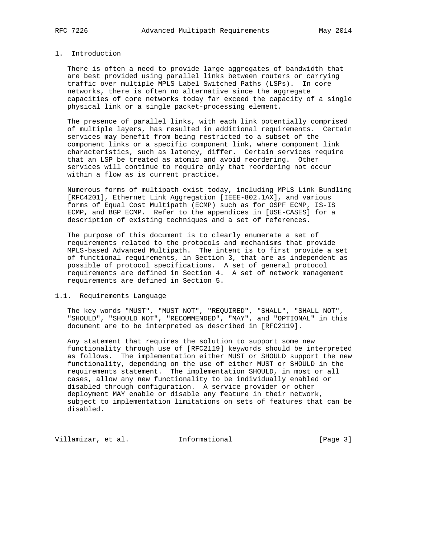# 1. Introduction

 There is often a need to provide large aggregates of bandwidth that are best provided using parallel links between routers or carrying traffic over multiple MPLS Label Switched Paths (LSPs). In core networks, there is often no alternative since the aggregate capacities of core networks today far exceed the capacity of a single physical link or a single packet-processing element.

 The presence of parallel links, with each link potentially comprised of multiple layers, has resulted in additional requirements. Certain services may benefit from being restricted to a subset of the component links or a specific component link, where component link characteristics, such as latency, differ. Certain services require that an LSP be treated as atomic and avoid reordering. Other services will continue to require only that reordering not occur within a flow as is current practice.

 Numerous forms of multipath exist today, including MPLS Link Bundling [RFC4201], Ethernet Link Aggregation [IEEE-802.1AX], and various forms of Equal Cost Multipath (ECMP) such as for OSPF ECMP, IS-IS ECMP, and BGP ECMP. Refer to the appendices in [USE-CASES] for a description of existing techniques and a set of references.

 The purpose of this document is to clearly enumerate a set of requirements related to the protocols and mechanisms that provide MPLS-based Advanced Multipath. The intent is to first provide a set of functional requirements, in Section 3, that are as independent as possible of protocol specifications. A set of general protocol requirements are defined in Section 4. A set of network management requirements are defined in Section 5.

## 1.1. Requirements Language

 The key words "MUST", "MUST NOT", "REQUIRED", "SHALL", "SHALL NOT", "SHOULD", "SHOULD NOT", "RECOMMENDED", "MAY", and "OPTIONAL" in this document are to be interpreted as described in [RFC2119].

 Any statement that requires the solution to support some new functionality through use of [RFC2119] keywords should be interpreted as follows. The implementation either MUST or SHOULD support the new functionality, depending on the use of either MUST or SHOULD in the requirements statement. The implementation SHOULD, in most or all cases, allow any new functionality to be individually enabled or disabled through configuration. A service provider or other deployment MAY enable or disable any feature in their network, subject to implementation limitations on sets of features that can be disabled.

Villamizar, et al. 1nformational (Page 3)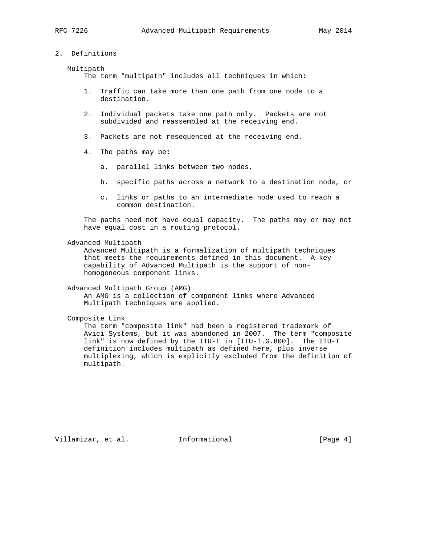## 2. Definitions

### Multipath

The term "multipath" includes all techniques in which:

- 1. Traffic can take more than one path from one node to a destination.
- 2. Individual packets take one path only. Packets are not subdivided and reassembled at the receiving end.
- 3. Packets are not resequenced at the receiving end.
- 4. The paths may be:
	- a. parallel links between two nodes,
	- b. specific paths across a network to a destination node, or
	- c. links or paths to an intermediate node used to reach a common destination.

 The paths need not have equal capacity. The paths may or may not have equal cost in a routing protocol.

#### Advanced Multipath

 Advanced Multipath is a formalization of multipath techniques that meets the requirements defined in this document. A key capability of Advanced Multipath is the support of non homogeneous component links.

Advanced Multipath Group (AMG)

 An AMG is a collection of component links where Advanced Multipath techniques are applied.

Composite Link

 The term "composite link" had been a registered trademark of Avici Systems, but it was abandoned in 2007. The term "composite link" is now defined by the ITU-T in [ITU-T.G.800]. The ITU-T definition includes multipath as defined here, plus inverse multiplexing, which is explicitly excluded from the definition of multipath.

Villamizar, et al. 1nformational (Page 4)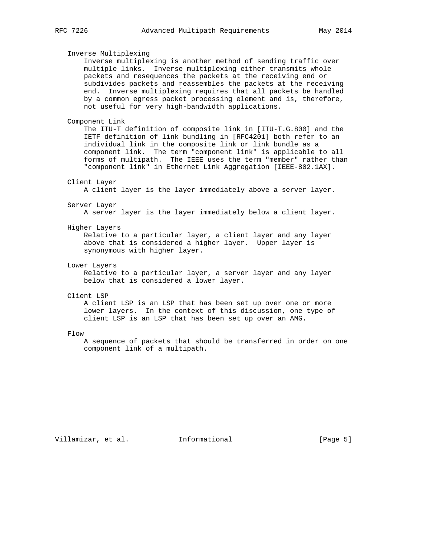Inverse Multiplexing Inverse multiplexing is another method of sending traffic over multiple links. Inverse multiplexing either transmits whole packets and resequences the packets at the receiving end or subdivides packets and reassembles the packets at the receiving end. Inverse multiplexing requires that all packets be handled by a common egress packet processing element and is, therefore, not useful for very high-bandwidth applications. Component Link The ITU-T definition of composite link in [ITU-T.G.800] and the IETF definition of link bundling in [RFC4201] both refer to an individual link in the composite link or link bundle as a component link. The term "component link" is applicable to all forms of multipath. The IEEE uses the term "member" rather than "component link" in Ethernet Link Aggregation [IEEE-802.1AX]. Client Layer A client layer is the layer immediately above a server layer. Server Layer A server layer is the layer immediately below a client layer. Higher Layers Relative to a particular layer, a client layer and any layer above that is considered a higher layer. Upper layer is synonymous with higher layer. Lower Layers Relative to a particular layer, a server layer and any layer below that is considered a lower layer. Client LSP A client LSP is an LSP that has been set up over one or more lower layers. In the context of this discussion, one type of client LSP is an LSP that has been set up over an AMG. Flow A sequence of packets that should be transferred in order on one

Villamizar, et al. Informational [Page 5]

component link of a multipath.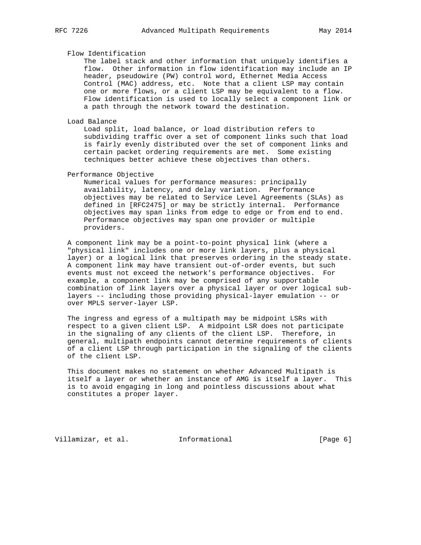## Flow Identification

 The label stack and other information that uniquely identifies a flow. Other information in flow identification may include an IP header, pseudowire (PW) control word, Ethernet Media Access Control (MAC) address, etc. Note that a client LSP may contain one or more flows, or a client LSP may be equivalent to a flow. Flow identification is used to locally select a component link or a path through the network toward the destination.

## Load Balance

 Load split, load balance, or load distribution refers to subdividing traffic over a set of component links such that load is fairly evenly distributed over the set of component links and certain packet ordering requirements are met. Some existing techniques better achieve these objectives than others.

#### Performance Objective

 Numerical values for performance measures: principally availability, latency, and delay variation. Performance objectives may be related to Service Level Agreements (SLAs) as defined in [RFC2475] or may be strictly internal. Performance objectives may span links from edge to edge or from end to end. Performance objectives may span one provider or multiple providers.

 A component link may be a point-to-point physical link (where a "physical link" includes one or more link layers, plus a physical layer) or a logical link that preserves ordering in the steady state. A component link may have transient out-of-order events, but such events must not exceed the network's performance objectives. For example, a component link may be comprised of any supportable combination of link layers over a physical layer or over logical sub layers -- including those providing physical-layer emulation -- or over MPLS server-layer LSP.

 The ingress and egress of a multipath may be midpoint LSRs with respect to a given client LSP. A midpoint LSR does not participate in the signaling of any clients of the client LSP. Therefore, in general, multipath endpoints cannot determine requirements of clients of a client LSP through participation in the signaling of the clients of the client LSP.

 This document makes no statement on whether Advanced Multipath is itself a layer or whether an instance of AMG is itself a layer. This is to avoid engaging in long and pointless discussions about what constitutes a proper layer.

Villamizar, et al. Informational [Page 6]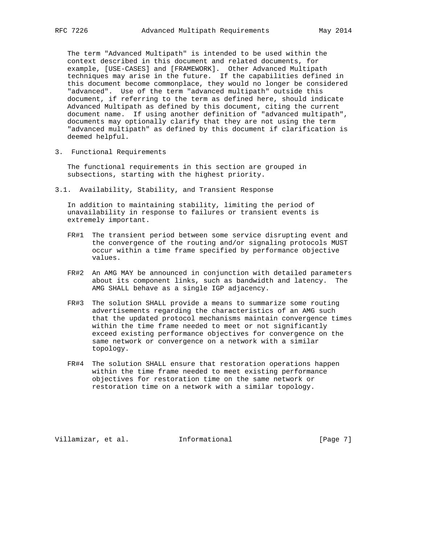The term "Advanced Multipath" is intended to be used within the context described in this document and related documents, for example, [USE-CASES] and [FRAMEWORK]. Other Advanced Multipath techniques may arise in the future. If the capabilities defined in this document become commonplace, they would no longer be considered "advanced". Use of the term "advanced multipath" outside this document, if referring to the term as defined here, should indicate Advanced Multipath as defined by this document, citing the current document name. If using another definition of "advanced multipath", documents may optionally clarify that they are not using the term "advanced multipath" as defined by this document if clarification is deemed helpful.

3. Functional Requirements

 The functional requirements in this section are grouped in subsections, starting with the highest priority.

3.1. Availability, Stability, and Transient Response

 In addition to maintaining stability, limiting the period of unavailability in response to failures or transient events is extremely important.

- FR#1 The transient period between some service disrupting event and the convergence of the routing and/or signaling protocols MUST occur within a time frame specified by performance objective values.
- FR#2 An AMG MAY be announced in conjunction with detailed parameters about its component links, such as bandwidth and latency. The AMG SHALL behave as a single IGP adjacency.
- FR#3 The solution SHALL provide a means to summarize some routing advertisements regarding the characteristics of an AMG such that the updated protocol mechanisms maintain convergence times within the time frame needed to meet or not significantly exceed existing performance objectives for convergence on the same network or convergence on a network with a similar topology.
- FR#4 The solution SHALL ensure that restoration operations happen within the time frame needed to meet existing performance objectives for restoration time on the same network or restoration time on a network with a similar topology.

Villamizar, et al. Informational [Page 7]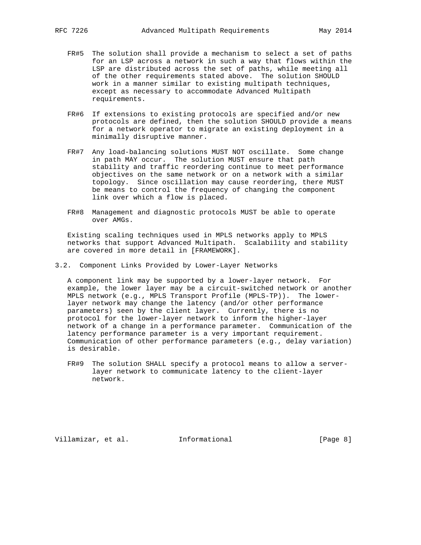- FR#5 The solution shall provide a mechanism to select a set of paths for an LSP across a network in such a way that flows within the LSP are distributed across the set of paths, while meeting all of the other requirements stated above. The solution SHOULD work in a manner similar to existing multipath techniques, except as necessary to accommodate Advanced Multipath requirements.
- FR#6 If extensions to existing protocols are specified and/or new protocols are defined, then the solution SHOULD provide a means for a network operator to migrate an existing deployment in a minimally disruptive manner.
- FR#7 Any load-balancing solutions MUST NOT oscillate. Some change in path MAY occur. The solution MUST ensure that path stability and traffic reordering continue to meet performance objectives on the same network or on a network with a similar topology. Since oscillation may cause reordering, there MUST be means to control the frequency of changing the component link over which a flow is placed.
- FR#8 Management and diagnostic protocols MUST be able to operate over AMGs.

 Existing scaling techniques used in MPLS networks apply to MPLS networks that support Advanced Multipath. Scalability and stability are covered in more detail in [FRAMEWORK].

3.2. Component Links Provided by Lower-Layer Networks

 A component link may be supported by a lower-layer network. For example, the lower layer may be a circuit-switched network or another MPLS network (e.g., MPLS Transport Profile (MPLS-TP)). The lower layer network may change the latency (and/or other performance parameters) seen by the client layer. Currently, there is no protocol for the lower-layer network to inform the higher-layer network of a change in a performance parameter. Communication of the latency performance parameter is a very important requirement. Communication of other performance parameters (e.g., delay variation) is desirable.

 FR#9 The solution SHALL specify a protocol means to allow a server layer network to communicate latency to the client-layer network.

Villamizar, et al. Informational [Page 8]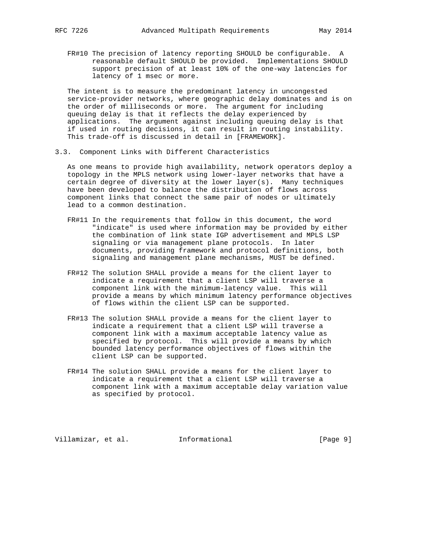FR#10 The precision of latency reporting SHOULD be configurable. A reasonable default SHOULD be provided. Implementations SHOULD support precision of at least 10% of the one-way latencies for latency of 1 msec or more.

 The intent is to measure the predominant latency in uncongested service-provider networks, where geographic delay dominates and is on the order of milliseconds or more. The argument for including queuing delay is that it reflects the delay experienced by applications. The argument against including queuing delay is that if used in routing decisions, it can result in routing instability. This trade-off is discussed in detail in [FRAMEWORK].

3.3. Component Links with Different Characteristics

 As one means to provide high availability, network operators deploy a topology in the MPLS network using lower-layer networks that have a certain degree of diversity at the lower layer(s). Many techniques have been developed to balance the distribution of flows across component links that connect the same pair of nodes or ultimately lead to a common destination.

- FR#11 In the requirements that follow in this document, the word "indicate" is used where information may be provided by either the combination of link state IGP advertisement and MPLS LSP signaling or via management plane protocols. In later documents, providing framework and protocol definitions, both signaling and management plane mechanisms, MUST be defined.
- FR#12 The solution SHALL provide a means for the client layer to indicate a requirement that a client LSP will traverse a component link with the minimum-latency value. This will provide a means by which minimum latency performance objectives of flows within the client LSP can be supported.
- FR#13 The solution SHALL provide a means for the client layer to indicate a requirement that a client LSP will traverse a component link with a maximum acceptable latency value as specified by protocol. This will provide a means by which bounded latency performance objectives of flows within the client LSP can be supported.
- FR#14 The solution SHALL provide a means for the client layer to indicate a requirement that a client LSP will traverse a component link with a maximum acceptable delay variation value as specified by protocol.

Villamizar, et al. Informational [Page 9]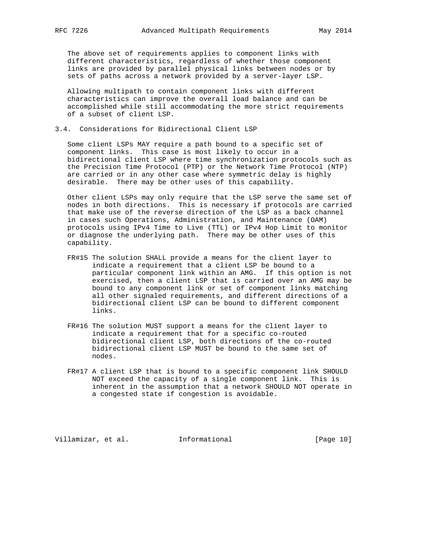The above set of requirements applies to component links with different characteristics, regardless of whether those component links are provided by parallel physical links between nodes or by sets of paths across a network provided by a server-layer LSP.

 Allowing multipath to contain component links with different characteristics can improve the overall load balance and can be accomplished while still accommodating the more strict requirements of a subset of client LSP.

3.4. Considerations for Bidirectional Client LSP

 Some client LSPs MAY require a path bound to a specific set of component links. This case is most likely to occur in a bidirectional client LSP where time synchronization protocols such as the Precision Time Protocol (PTP) or the Network Time Protocol (NTP) are carried or in any other case where symmetric delay is highly desirable. There may be other uses of this capability.

 Other client LSPs may only require that the LSP serve the same set of nodes in both directions. This is necessary if protocols are carried that make use of the reverse direction of the LSP as a back channel in cases such Operations, Administration, and Maintenance (OAM) protocols using IPv4 Time to Live (TTL) or IPv4 Hop Limit to monitor or diagnose the underlying path. There may be other uses of this capability.

- FR#15 The solution SHALL provide a means for the client layer to indicate a requirement that a client LSP be bound to a particular component link within an AMG. If this option is not exercised, then a client LSP that is carried over an AMG may be bound to any component link or set of component links matching all other signaled requirements, and different directions of a bidirectional client LSP can be bound to different component links.
- FR#16 The solution MUST support a means for the client layer to indicate a requirement that for a specific co-routed bidirectional client LSP, both directions of the co-routed bidirectional client LSP MUST be bound to the same set of nodes.
- FR#17 A client LSP that is bound to a specific component link SHOULD NOT exceed the capacity of a single component link. This is inherent in the assumption that a network SHOULD NOT operate in a congested state if congestion is avoidable.

Villamizar, et al. 1nformational [Page 10]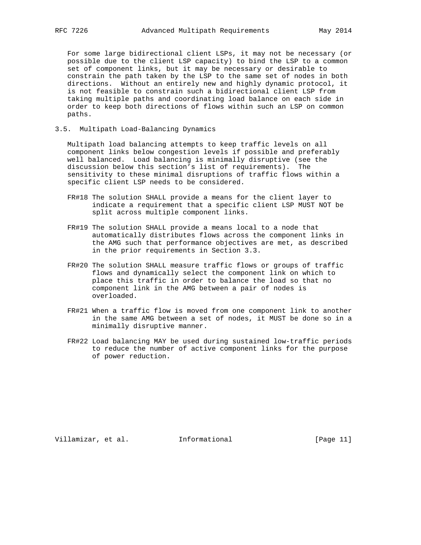For some large bidirectional client LSPs, it may not be necessary (or possible due to the client LSP capacity) to bind the LSP to a common set of component links, but it may be necessary or desirable to constrain the path taken by the LSP to the same set of nodes in both directions. Without an entirely new and highly dynamic protocol, it is not feasible to constrain such a bidirectional client LSP from taking multiple paths and coordinating load balance on each side in order to keep both directions of flows within such an LSP on common paths.

3.5. Multipath Load-Balancing Dynamics

 Multipath load balancing attempts to keep traffic levels on all component links below congestion levels if possible and preferably well balanced. Load balancing is minimally disruptive (see the discussion below this section's list of requirements). The sensitivity to these minimal disruptions of traffic flows within a specific client LSP needs to be considered.

- FR#18 The solution SHALL provide a means for the client layer to indicate a requirement that a specific client LSP MUST NOT be split across multiple component links.
- FR#19 The solution SHALL provide a means local to a node that automatically distributes flows across the component links in the AMG such that performance objectives are met, as described in the prior requirements in Section 3.3.
- FR#20 The solution SHALL measure traffic flows or groups of traffic flows and dynamically select the component link on which to place this traffic in order to balance the load so that no component link in the AMG between a pair of nodes is overloaded.
- FR#21 When a traffic flow is moved from one component link to another in the same AMG between a set of nodes, it MUST be done so in a minimally disruptive manner.
- FR#22 Load balancing MAY be used during sustained low-traffic periods to reduce the number of active component links for the purpose of power reduction.

Villamizar, et al. 1nformational [Page 11]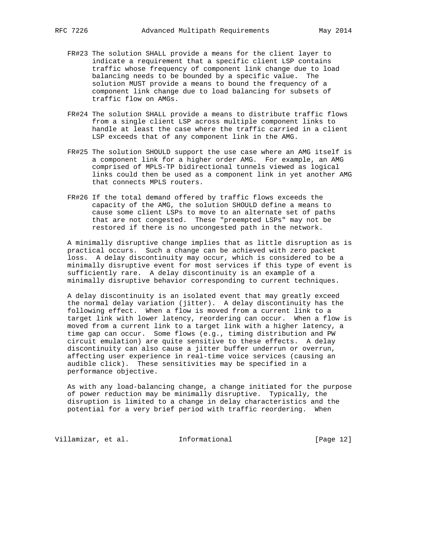- FR#23 The solution SHALL provide a means for the client layer to indicate a requirement that a specific client LSP contains traffic whose frequency of component link change due to load balancing needs to be bounded by a specific value. The solution MUST provide a means to bound the frequency of a component link change due to load balancing for subsets of traffic flow on AMGs.
- FR#24 The solution SHALL provide a means to distribute traffic flows from a single client LSP across multiple component links to handle at least the case where the traffic carried in a client LSP exceeds that of any component link in the AMG.
- FR#25 The solution SHOULD support the use case where an AMG itself is a component link for a higher order AMG. For example, an AMG comprised of MPLS-TP bidirectional tunnels viewed as logical links could then be used as a component link in yet another AMG that connects MPLS routers.
- FR#26 If the total demand offered by traffic flows exceeds the capacity of the AMG, the solution SHOULD define a means to cause some client LSPs to move to an alternate set of paths that are not congested. These "preempted LSPs" may not be restored if there is no uncongested path in the network.

 A minimally disruptive change implies that as little disruption as is practical occurs. Such a change can be achieved with zero packet loss. A delay discontinuity may occur, which is considered to be a minimally disruptive event for most services if this type of event is sufficiently rare. A delay discontinuity is an example of a minimally disruptive behavior corresponding to current techniques.

 A delay discontinuity is an isolated event that may greatly exceed the normal delay variation (jitter). A delay discontinuity has the following effect. When a flow is moved from a current link to a target link with lower latency, reordering can occur. When a flow is moved from a current link to a target link with a higher latency, a time gap can occur. Some flows (e.g., timing distribution and PW circuit emulation) are quite sensitive to these effects. A delay discontinuity can also cause a jitter buffer underrun or overrun, affecting user experience in real-time voice services (causing an audible click). These sensitivities may be specified in a performance objective.

 As with any load-balancing change, a change initiated for the purpose of power reduction may be minimally disruptive. Typically, the disruption is limited to a change in delay characteristics and the potential for a very brief period with traffic reordering. When

Villamizar, et al. 1nformational [Page 12]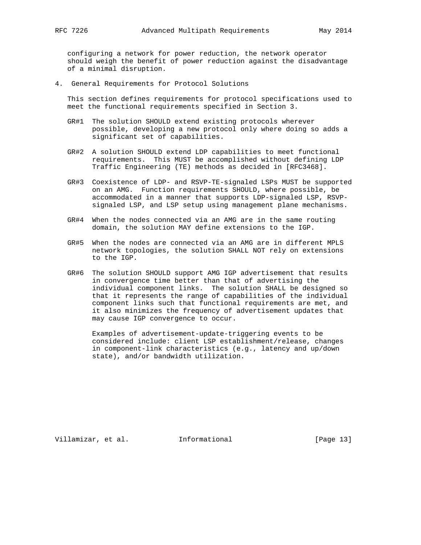configuring a network for power reduction, the network operator should weigh the benefit of power reduction against the disadvantage of a minimal disruption.

4. General Requirements for Protocol Solutions

 This section defines requirements for protocol specifications used to meet the functional requirements specified in Section 3.

- GR#1 The solution SHOULD extend existing protocols wherever possible, developing a new protocol only where doing so adds a significant set of capabilities.
- GR#2 A solution SHOULD extend LDP capabilities to meet functional requirements. This MUST be accomplished without defining LDP Traffic Engineering (TE) methods as decided in [RFC3468].
- GR#3 Coexistence of LDP- and RSVP-TE-signaled LSPs MUST be supported on an AMG. Function requirements SHOULD, where possible, be accommodated in a manner that supports LDP-signaled LSP, RSVP signaled LSP, and LSP setup using management plane mechanisms.
- GR#4 When the nodes connected via an AMG are in the same routing domain, the solution MAY define extensions to the IGP.
- GR#5 When the nodes are connected via an AMG are in different MPLS network topologies, the solution SHALL NOT rely on extensions to the IGP.
- GR#6 The solution SHOULD support AMG IGP advertisement that results in convergence time better than that of advertising the individual component links. The solution SHALL be designed so that it represents the range of capabilities of the individual component links such that functional requirements are met, and it also minimizes the frequency of advertisement updates that may cause IGP convergence to occur.

 Examples of advertisement-update-triggering events to be considered include: client LSP establishment/release, changes in component-link characteristics (e.g., latency and up/down state), and/or bandwidth utilization.

Villamizar, et al. 1nformational [Page 13]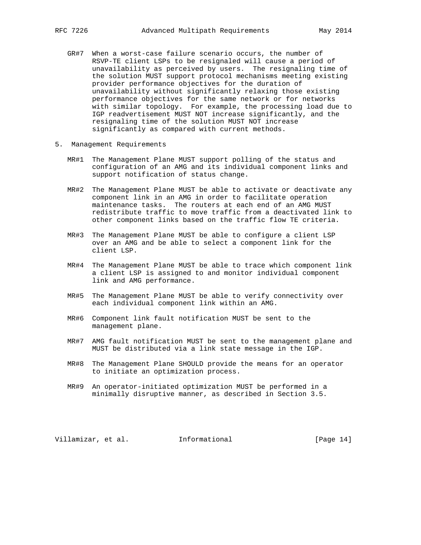- GR#7 When a worst-case failure scenario occurs, the number of RSVP-TE client LSPs to be resignaled will cause a period of unavailability as perceived by users. The resignaling time of the solution MUST support protocol mechanisms meeting existing provider performance objectives for the duration of unavailability without significantly relaxing those existing performance objectives for the same network or for networks with similar topology. For example, the processing load due to IGP readvertisement MUST NOT increase significantly, and the resignaling time of the solution MUST NOT increase significantly as compared with current methods.
- 5. Management Requirements
	- MR#1 The Management Plane MUST support polling of the status and configuration of an AMG and its individual component links and support notification of status change.
	- MR#2 The Management Plane MUST be able to activate or deactivate any component link in an AMG in order to facilitate operation maintenance tasks. The routers at each end of an AMG MUST redistribute traffic to move traffic from a deactivated link to other component links based on the traffic flow TE criteria.
	- MR#3 The Management Plane MUST be able to configure a client LSP over an AMG and be able to select a component link for the client LSP.
	- MR#4 The Management Plane MUST be able to trace which component link a client LSP is assigned to and monitor individual component link and AMG performance.
	- MR#5 The Management Plane MUST be able to verify connectivity over each individual component link within an AMG.
	- MR#6 Component link fault notification MUST be sent to the management plane.
	- MR#7 AMG fault notification MUST be sent to the management plane and MUST be distributed via a link state message in the IGP.
	- MR#8 The Management Plane SHOULD provide the means for an operator to initiate an optimization process.
	- MR#9 An operator-initiated optimization MUST be performed in a minimally disruptive manner, as described in Section 3.5.

Villamizar, et al. Informational [Page 14]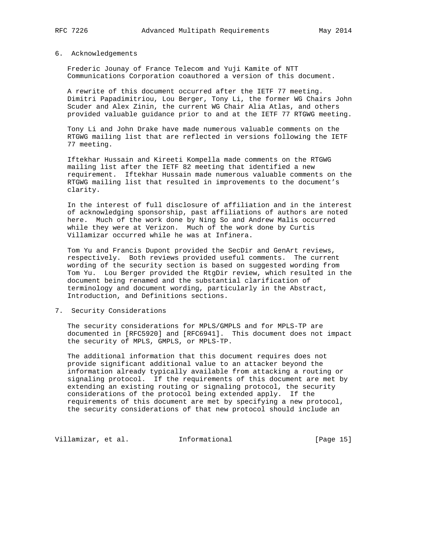## 6. Acknowledgements

 Frederic Jounay of France Telecom and Yuji Kamite of NTT Communications Corporation coauthored a version of this document.

 A rewrite of this document occurred after the IETF 77 meeting. Dimitri Papadimitriou, Lou Berger, Tony Li, the former WG Chairs John Scuder and Alex Zinin, the current WG Chair Alia Atlas, and others provided valuable guidance prior to and at the IETF 77 RTGWG meeting.

 Tony Li and John Drake have made numerous valuable comments on the RTGWG mailing list that are reflected in versions following the IETF 77 meeting.

 Iftekhar Hussain and Kireeti Kompella made comments on the RTGWG mailing list after the IETF 82 meeting that identified a new requirement. Iftekhar Hussain made numerous valuable comments on the RTGWG mailing list that resulted in improvements to the document's clarity.

 In the interest of full disclosure of affiliation and in the interest of acknowledging sponsorship, past affiliations of authors are noted here. Much of the work done by Ning So and Andrew Malis occurred while they were at Verizon. Much of the work done by Curtis Villamizar occurred while he was at Infinera.

 Tom Yu and Francis Dupont provided the SecDir and GenArt reviews, respectively. Both reviews provided useful comments. The current wording of the security section is based on suggested wording from Tom Yu. Lou Berger provided the RtgDir review, which resulted in the document being renamed and the substantial clarification of terminology and document wording, particularly in the Abstract, Introduction, and Definitions sections.

## 7. Security Considerations

 The security considerations for MPLS/GMPLS and for MPLS-TP are documented in [RFC5920] and [RFC6941]. This document does not impact the security of MPLS, GMPLS, or MPLS-TP.

 The additional information that this document requires does not provide significant additional value to an attacker beyond the information already typically available from attacking a routing or signaling protocol. If the requirements of this document are met by extending an existing routing or signaling protocol, the security considerations of the protocol being extended apply. If the requirements of this document are met by specifying a new protocol, the security considerations of that new protocol should include an

Villamizar, et al. 1nformational [Page 15]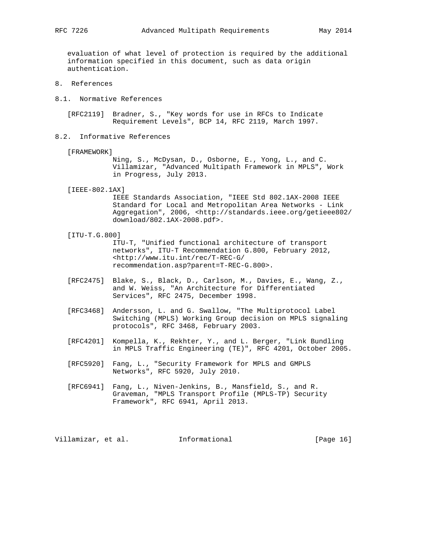evaluation of what level of protection is required by the additional information specified in this document, such as data origin authentication.

- 8. References
- 8.1. Normative References

 [RFC2119] Bradner, S., "Key words for use in RFCs to Indicate Requirement Levels", BCP 14, RFC 2119, March 1997.

8.2. Informative References

[FRAMEWORK]

 Ning, S., McDysan, D., Osborne, E., Yong, L., and C. Villamizar, "Advanced Multipath Framework in MPLS", Work in Progress, July 2013.

[IEEE-802.1AX]

 IEEE Standards Association, "IEEE Std 802.1AX-2008 IEEE Standard for Local and Metropolitan Area Networks - Link Aggregation", 2006, <http://standards.ieee.org/getieee802/ download/802.1AX-2008.pdf>.

[ITU-T.G.800]

 ITU-T, "Unified functional architecture of transport networks", ITU-T Recommendation G.800, February 2012, <http://www.itu.int/rec/T-REC-G/ recommendation.asp?parent=T-REC-G.800>.

- [RFC2475] Blake, S., Black, D., Carlson, M., Davies, E., Wang, Z., and W. Weiss, "An Architecture for Differentiated Services", RFC 2475, December 1998.
- [RFC3468] Andersson, L. and G. Swallow, "The Multiprotocol Label Switching (MPLS) Working Group decision on MPLS signaling protocols", RFC 3468, February 2003.
- [RFC4201] Kompella, K., Rekhter, Y., and L. Berger, "Link Bundling in MPLS Traffic Engineering (TE)", RFC 4201, October 2005.
- [RFC5920] Fang, L., "Security Framework for MPLS and GMPLS Networks", RFC 5920, July 2010.
- [RFC6941] Fang, L., Niven-Jenkins, B., Mansfield, S., and R. Graveman, "MPLS Transport Profile (MPLS-TP) Security Framework", RFC 6941, April 2013.

Villamizar, et al. 1nformational [Page 16]